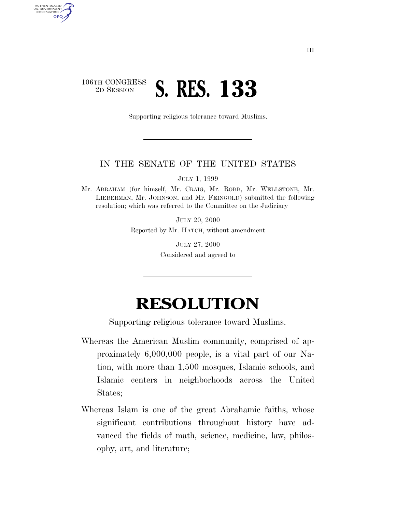## 106TH CONGRESS<br>2D SESSION 2D SESSION **S. RES. 133**

AUTHENTICATED<br>U.S. GOVERNMENT<br>INFORMATION

GPO

Supporting religious tolerance toward Muslims.

## IN THE SENATE OF THE UNITED STATES

JULY 1, 1999

Mr. ABRAHAM (for himself, Mr. CRAIG, Mr. ROBB, Mr. WELLSTONE, Mr. LIEBERMAN, Mr. JOHNSON, and Mr. FEINGOLD) submitted the following resolution; which was referred to the Committee on the Judiciary

> JULY 20, 2000 Reported by Mr. HATCH, without amendment

> > JULY 27, 2000 Considered and agreed to

## **RESOLUTION**

Supporting religious tolerance toward Muslims.

- Whereas the American Muslim community, comprised of approximately 6,000,000 people, is a vital part of our Nation, with more than 1,500 mosques, Islamic schools, and Islamic centers in neighborhoods across the United States;
- Whereas Islam is one of the great Abrahamic faiths, whose significant contributions throughout history have advanced the fields of math, science, medicine, law, philosophy, art, and literature;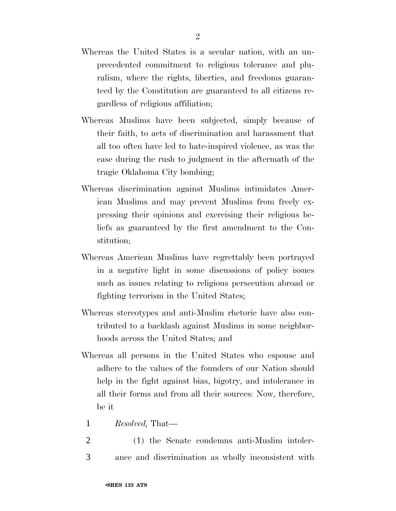- Whereas the United States is a secular nation, with an unprecedented commitment to religious tolerance and pluralism, where the rights, liberties, and freedoms guaranteed by the Constitution are guaranteed to all citizens regardless of religious affiliation;
- Whereas Muslims have been subjected, simply because of their faith, to acts of discrimination and harassment that all too often have led to hate-inspired violence, as was the case during the rush to judgment in the aftermath of the tragic Oklahoma City bombing;
- Whereas discrimination against Muslims intimidates American Muslims and may prevent Muslims from freely expressing their opinions and exercising their religious beliefs as guaranteed by the first amendment to the Constitution;
- Whereas American Muslims have regrettably been portrayed in a negative light in some discussions of policy issues such as issues relating to religious persecution abroad or fighting terrorism in the United States;
- Whereas stereotypes and anti-Muslim rhetoric have also contributed to a backlash against Muslims in some neighborhoods across the United States; and
- Whereas all persons in the United States who espouse and adhere to the values of the founders of our Nation should help in the fight against bias, bigotry, and intolerance in all their forms and from all their sources: Now, therefore, be it
	- 1 *Resolved,* That—
- 2 (1) the Senate condemns anti-Muslim intoler-3 ance and discrimination as wholly inconsistent with